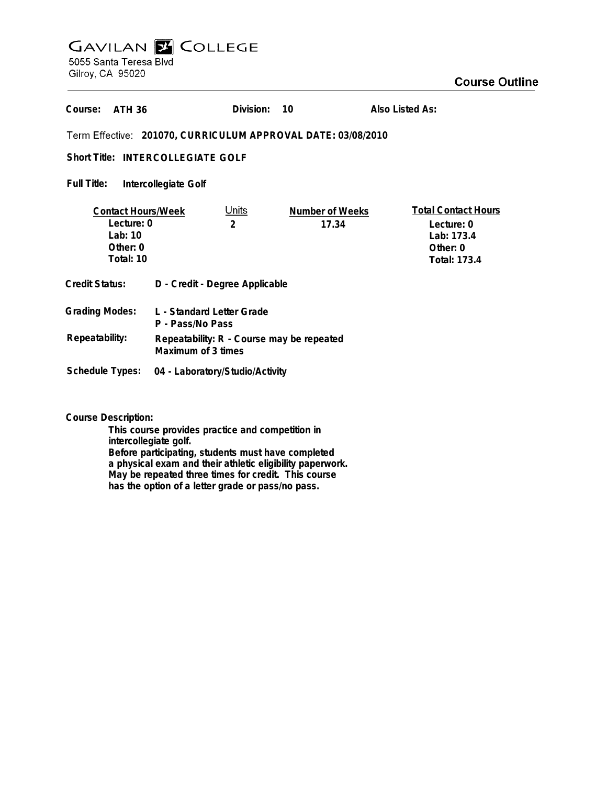## **GAVILAN E COLLEGE**<br>5055 Santa Teresa Blvd

Gilroy, CA 95020

## **Course Outline**

|                                                                               |                                                                 |                                                  |                                                              | oourse d                                                                                  |
|-------------------------------------------------------------------------------|-----------------------------------------------------------------|--------------------------------------------------|--------------------------------------------------------------|-------------------------------------------------------------------------------------------|
| Course:<br><b>ATH 36</b>                                                      |                                                                 | Division:                                        | 10                                                           | Also Listed As:                                                                           |
|                                                                               |                                                                 |                                                  | Term Effective: 201070, CURRICULUM APPROVAL DATE: 03/08/2010 |                                                                                           |
| Short Title: INTERCOLLEGIATE GOLF                                             |                                                                 |                                                  |                                                              |                                                                                           |
| Full Title:                                                                   | Intercollegiate Golf                                            |                                                  |                                                              |                                                                                           |
| <b>Contact Hours/Week</b><br>Lecture: 0<br>Lab: $10$<br>Other: 0<br>Total: 10 |                                                                 | <u>Units</u><br>$\overline{2}$                   | Number of Weeks<br>17.34                                     | <b>Total Contact Hours</b><br>Lecture: 0<br>Lab: 173.4<br>Other: 0<br><b>Total: 173.4</b> |
| <b>Credit Status:</b>                                                         | D - Credit - Degree Applicable                                  |                                                  |                                                              |                                                                                           |
| <b>Grading Modes:</b>                                                         | L - Standard Letter Grade<br>P - Pass/No Pass                   |                                                  |                                                              |                                                                                           |
| Repeatability:                                                                | Repeatability: R - Course may be repeated<br>Maximum of 3 times |                                                  |                                                              |                                                                                           |
| <b>Schedule Types:</b>                                                        | 04 - Laboratory/Studio/Activity                                 |                                                  |                                                              |                                                                                           |
| <b>Course Description:</b>                                                    | and a Historical and Delivery of the                            | This course provides practice and competition in |                                                              |                                                                                           |

**intercollegiate golf. Before participating, students must have completed a physical exam and their athletic eligibility paperwork. May be repeated three times for credit. This course has the option of a letter grade or pass/no pass.**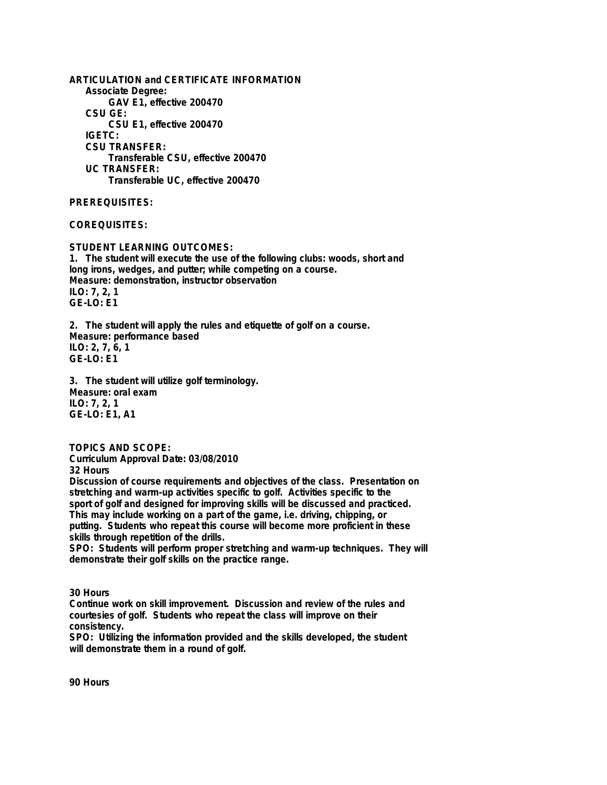**ARTICULATION and CERTIFICATE INFORMATION Associate Degree: GAV E1, effective 200470 CSU GE: CSU E1, effective 200470 IGETC: CSU TRANSFER: Transferable CSU, effective 200470 UC TRANSFER: Transferable UC, effective 200470**

**PREREQUISITES:**

**COREQUISITES:**

**STUDENT LEARNING OUTCOMES: 1. The student will execute the use of the following clubs: woods, short and long irons, wedges, and putter; while competing on a course. Measure: demonstration, instructor observation ILO: 7, 2, 1 GE-LO: E1**

**2. The student will apply the rules and etiquette of golf on a course. Measure: performance based ILO: 2, 7, 6, 1 GE-LO: E1**

**3. The student will utilize golf terminology. Measure: oral exam ILO: 7, 2, 1 GE-LO: E1, A1**

**TOPICS AND SCOPE:**

**Curriculum Approval Date: 03/08/2010 32 Hours**

**Discussion of course requirements and objectives of the class. Presentation on stretching and warm-up activities specific to golf. Activities specific to the sport of golf and designed for improving skills will be discussed and practiced. This may include working on a part of the game, i.e. driving, chipping, or putting. Students who repeat this course will become more proficient in these skills through repetition of the drills.**

**SPO: Students will perform proper stretching and warm-up techniques. They will demonstrate their golf skills on the practice range.**

**30 Hours**

**Continue work on skill improvement. Discussion and review of the rules and courtesies of golf. Students who repeat the class will improve on their consistency.**

**SPO: Utilizing the information provided and the skills developed, the student will demonstrate them in a round of golf.**

**90 Hours**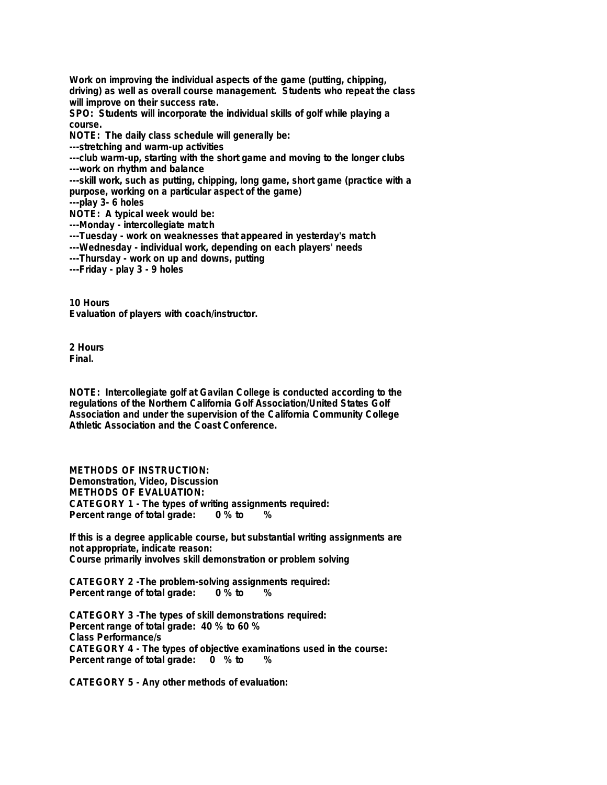**Work on improving the individual aspects of the game (putting, chipping, driving) as well as overall course management. Students who repeat the class will improve on their success rate.**

**SPO: Students will incorporate the individual skills of golf while playing a course.**

**NOTE: The daily class schedule will generally be:**

**---stretching and warm-up activities**

**---club warm-up, starting with the short game and moving to the longer clubs ---work on rhythm and balance**

**---skill work, such as putting, chipping, long game, short game (practice with a purpose, working on a particular aspect of the game)**

**---play 3- 6 holes**

**NOTE: A typical week would be:**

**---Monday - intercollegiate match**

**---Tuesday - work on weaknesses that appeared in yesterday's match**

- **---Wednesday individual work, depending on each players' needs**
- **---Thursday work on up and downs, putting**

**---Friday - play 3 - 9 holes**

**10 Hours Evaluation of players with coach/instructor.**

**2 Hours Final.**

**NOTE: Intercollegiate golf at Gavilan College is conducted according to the regulations of the Northern California Golf Association/United States Golf Association and under the supervision of the California Community College Athletic Association and the Coast Conference.**

**METHODS OF INSTRUCTION: Demonstration, Video, Discussion METHODS OF EVALUATION: CATEGORY 1 - The types of writing assignments required: Percent range of total grade: 0 % to %**

**If this is a degree applicable course, but substantial writing assignments are not appropriate, indicate reason: Course primarily involves skill demonstration or problem solving**

**CATEGORY 2 -The problem-solving assignments required: Percent range of total grade: 0 % to %**

**CATEGORY 3 -The types of skill demonstrations required: Percent range of total grade: 40 % to 60 % Class Performance/s CATEGORY 4 - The types of objective examinations used in the course: Percent range of total grade: 0 % to %**

**CATEGORY 5 - Any other methods of evaluation:**